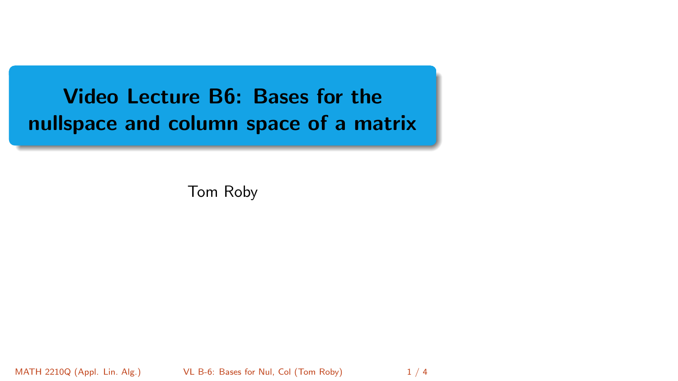<span id="page-0-0"></span>Video Lecture B6: Bases for the nullspace and column space of a matrix

Tom Roby

MATH 2210Q (Appl. Lin. Alg.) [VL B-6: Bases for Nul, Col](#page-3-0) (Tom Roby) 1/4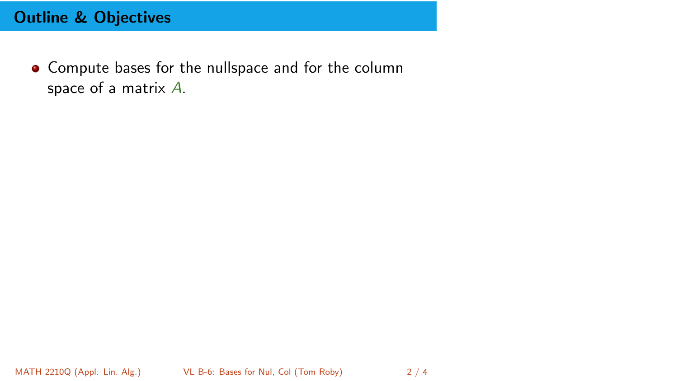## Outline & Objectives

• Compute bases for the nullspace and for the column space of a matrix A.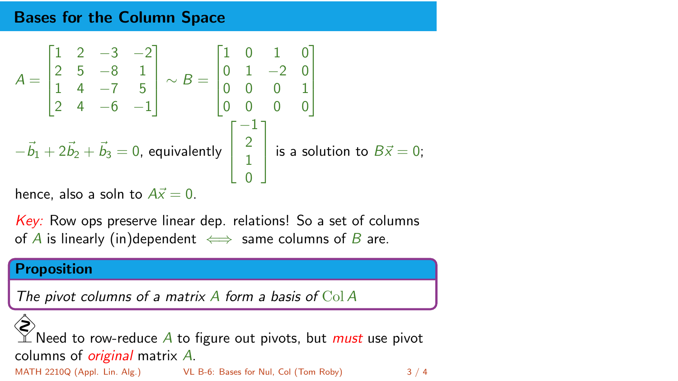## Bases for the Column Space

$$
A = \begin{bmatrix} 1 & 2 & -3 & -2 \\ 2 & 5 & -8 & 1 \\ 1 & 4 & -7 & 5 \\ 2 & 4 & -6 & -1 \end{bmatrix} \sim B = \begin{bmatrix} 1 & 0 & 1 & 0 \\ 0 & 1 & -2 & 0 \\ 0 & 0 & 0 & 1 \\ 0 & 0 & 0 & 0 \end{bmatrix}
$$

$$
-\vec{b}_1 + 2\vec{b}_2 + \vec{b}_3 = 0, \text{ equivalently } \begin{bmatrix} -1 \\ 2 \\ 1 \\ 0 \end{bmatrix} \text{ is a solution to } B\vec{x} = 0;
$$

hence, also a soln to  $Ax = 0$ .

Key: Row ops preserve linear dep. relations! So a set of columns of A is linearly (in)dependent  $\iff$  same columns of B are.

## Proposition

The pivot columns of a matrix  $A$  form a basis of  $Col A$ 

⊗ Need to row-reduce  $A$  to figure out pivots, but *must* use pivot columns of *original* matrix  $\overline{A}$ .

MATH 2210Q (Appl. Lin. Alg.) [VL B-6: Bases for Nul, Col](#page-0-0) (Tom Roby) 3 / 4